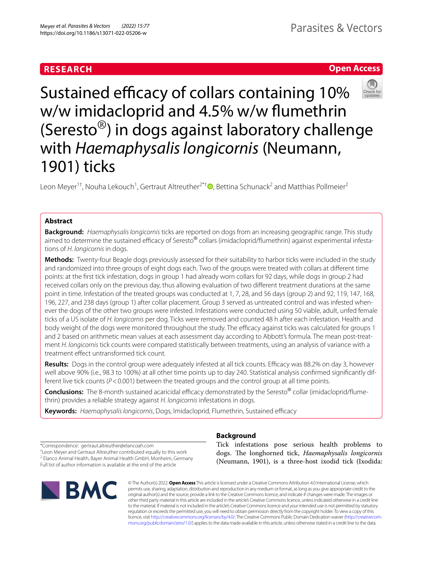# **RESEARCH**

# **Open Access**



Sustained efficacy of collars containing 10% w/w imidacloprid and 4.5% w/w fumethrin (Seresto®) in dogs against laboratory challenge with *Haemaphysalis longicornis* (Neumann, 1901) ticks

Leon Meyer<sup>1†</sup>[,](http://orcid.org/0000-0001-6985-5582) Nouha Lekouch<sup>1</sup>, Gertraut Altreuther<sup>2\*†</sup> **D**, Bettina Schunack<sup>2</sup> and Matthias Pollmeier<sup>2</sup>

# **Abstract**

**Background:** *Haemaphysalis longicornis* ticks are reported on dogs from an increasing geographic range. This study aimed to determine the sustained efficacy of Seresto® collars (imidacloprid/flumethrin) against experimental infestations of *H. longicornis* in dogs.

**Methods:** Twenty-four Beagle dogs previously assessed for their suitability to harbor ticks were included in the study and randomized into three groups of eight dogs each. Two of the groups were treated with collars at diferent time points: at the frst tick infestation, dogs in group 1 had already worn collars for 92 days, while dogs in group 2 had received collars only on the previous day, thus allowing evaluation of two diferent treatment durations at the same point in time. Infestation of the treated groups was conducted at 1, 7, 28, and 56 days (group 2) and 92, 119, 147, 168, 196, 227, and 238 days (group 1) after collar placement. Group 3 served as untreated control and was infested whenever the dogs of the other two groups were infested. Infestations were conducted using 50 viable, adult, unfed female ticks of a US isolate of *H. longicornis* per dog. Ticks were removed and counted 48 h after each infestation. Health and body weight of the dogs were monitored throughout the study. The efficacy against ticks was calculated for groups 1 and 2 based on arithmetic mean values at each assessment day according to Abbott's formula. The mean post-treatment *H. longicornis* tick counts were compared statistically between treatments, using an analysis of variance with a treatment efect untransformed tick count.

Results: Dogs in the control group were adequately infested at all tick counts. Efficacy was 88.2% on day 3, however well above 90% (i.e., 98.3 to 100%) at all other time points up to day 240. Statistical analysis confrmed signifcantly different live tick counts (*P*<0.001) between the treated groups and the control group at all time points.

**Conclusions:** The 8-month sustained acaricidal efficacy demonstrated by the Seresto<sup>®</sup> collar (imidacloprid/flumethrin) provides a reliable strategy against *H. longicornis* infestations in dogs.

Keywords: Haemaphysalis longicornis, Dogs, Imidacloprid, Flumethrin, Sustained efficacy

\*Correspondence: gertraut.altreuther@elancoah.com

† Leon Meyer and Gertraut Altreuther contributed equally to this work <sup>2</sup> Elanco Animal Health, Bayer Animal Health GmbH, Monheim, Germany

Full list of author information is available at the end of the article



# **Background**

Tick infestations pose serious health problems to dogs. The longhorned tick, *Haemaphysalis longicornis* (Neumann, 1901), is a three-host ixodid tick (Ixodida:

© The Author(s) 2022. **Open Access** This article is licensed under a Creative Commons Attribution 4.0 International License, which permits use, sharing, adaptation, distribution and reproduction in any medium or format, as long as you give appropriate credit to the original author(s) and the source, provide a link to the Creative Commons licence, and indicate if changes were made. The images or other third party material in this article are included in the article's Creative Commons licence, unless indicated otherwise in a credit line to the material. If material is not included in the article's Creative Commons licence and your intended use is not permitted by statutory regulation or exceeds the permitted use, you will need to obtain permission directly from the copyright holder. To view a copy of this licence, visit [http://creativecommons.org/licenses/by/4.0/.](http://creativecommons.org/licenses/by/4.0/) The Creative Commons Public Domain Dedication waiver ([http://creativecom](http://creativecommons.org/publicdomain/zero/1.0/)[mons.org/publicdomain/zero/1.0/\)](http://creativecommons.org/publicdomain/zero/1.0/) applies to the data made available in this article, unless otherwise stated in a credit line to the data.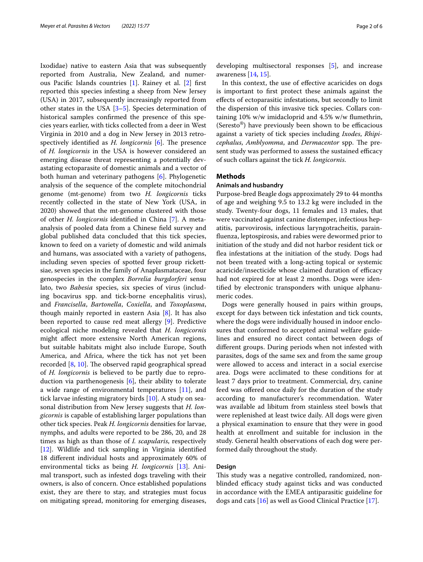Ixodidae) native to eastern Asia that was subsequently reported from Australia, New Zealand, and numerous Pacifc Islands countries [[1\]](#page-4-0). Rainey et al. [[2\]](#page-4-1) frst reported this species infesting a sheep from New Jersey (USA) in 2017, subsequently increasingly reported from other states in the USA [\[3](#page-4-2)[–5\]](#page-4-3). Species determination of historical samples confrmed the presence of this species years earlier, with ticks collected from a deer in West Virginia in 2010 and a dog in New Jersey in 2013 retrospectively identified as *H. longicornis* [[6\]](#page-4-4). The presence of *H. longicornis* in the USA is however considered an emerging disease threat representing a potentially devastating ectoparasite of domestic animals and a vector of both human and veterinary pathogens [\[6](#page-4-4)]. Phylogenetic analysis of the sequence of the complete mitochondrial genome (mt-genome) from two *H. longicornis* ticks recently collected in the state of New York (USA, in 2020) showed that the mt-genome clustered with those of other *H. longicornis* identifed in China [[7\]](#page-4-5). A metaanalysis of pooled data from a Chinese feld survey and global published data concluded that this tick species, known to feed on a variety of domestic and wild animals and humans, was associated with a variety of pathogens, including seven species of spotted fever group rickettsiae, seven species in the family of Anaplasmataceae, four genospecies in the complex *Borrelia burgdorferi* sensu lato, two *Babesia* species, six species of virus (including bocavirus spp. and tick-borne encephalitis virus), and *Francisella*, *Bartonella*, *Coxiella*, and *Toxoplasma*, though mainly reported in eastern Asia [\[8](#page-4-6)]. It has also been reported to cause red meat allergy [\[9](#page-5-0)]. Predictive ecological niche modeling revealed that *H. longicornis* might afect more extensive North American regions, but suitable habitats might also include Europe, South America, and Africa, where the tick has not yet been recorded  $[8, 10]$  $[8, 10]$  $[8, 10]$ . The observed rapid geographical spread of *H. longicornis* is believed to be partly due to reproduction via parthenogenesis [\[6](#page-4-4)], their ability to tolerate a wide range of environmental temperatures [[11](#page-5-2)], and tick larvae infesting migratory birds [\[10\]](#page-5-1). A study on seasonal distribution from New Jersey suggests that *H. longicornis* is capable of establishing larger populations than other tick species. Peak *H. longicornis* densities for larvae, nymphs, and adults were reported to be 286, 20, and 28 times as high as than those of *I. scapularis*, respectively [[12\]](#page-5-3). Wildlife and tick sampling in Virginia identifed 18 diferent individual hosts and approximately 60% of environmental ticks as being *H. longicornis* [[13\]](#page-5-4). Animal transport, such as infested dogs traveling with their owners, is also of concern. Once established populations exist, they are there to stay, and strategies must focus on mitigating spread, monitoring for emerging diseases,

developing multisectoral responses [\[5](#page-4-3)], and increase awareness [[14,](#page-5-5) [15\]](#page-5-6).

In this context, the use of efective acaricides on dogs is important to frst protect these animals against the efects of ectoparasitic infestations, but secondly to limit the dispersion of this invasive tick species. Collars containing 10% w/w imidacloprid and 4.5% w/w fumethrin, (Seresto<sup>®</sup>) have previously been shown to be efficacious against a variety of tick species including *Ixodes*, *Rhipicephalus, Amblyomma, and Dermacentor* spp. The present study was performed to assess the sustained efficacy of such collars against the tick *H. longicornis*.

### **Methods**

### **Animals and husbandry**

Purpose-bred Beagle dogs approximately 29 to 44 months of age and weighing 9.5 to 13.2 kg were included in the study. Twenty-four dogs, 11 females and 13 males, that were vaccinated against canine distemper, infectious hepatitis, parvovirosis, infectious laryngotracheitis, parainfuenza, leptospirosis, and rabies were dewormed prior to initiation of the study and did not harbor resident tick or fea infestations at the initiation of the study. Dogs had not been treated with a long-acting topical or systemic acaricide/insecticide whose claimed duration of efficacy had not expired for at least 2 months. Dogs were identifed by electronic transponders with unique alphanumeric codes.

Dogs were generally housed in pairs within groups, except for days between tick infestation and tick counts, where the dogs were individually housed in indoor enclosures that conformed to accepted animal welfare guidelines and ensured no direct contact between dogs of diferent groups. During periods when not infested with parasites, dogs of the same sex and from the same group were allowed to access and interact in a social exercise area. Dogs were acclimated to these conditions for at least 7 days prior to treatment. Commercial, dry, canine feed was ofered once daily for the duration of the study according to manufacturer's recommendation. Water was available ad libitum from stainless steel bowls that were replenished at least twice daily. All dogs were given a physical examination to ensure that they were in good health at enrollment and suitable for inclusion in the study. General health observations of each dog were performed daily throughout the study.

### **Design**

This study was a negative controlled, randomized, nonblinded efficacy study against ticks and was conducted in accordance with the EMEA antiparasitic guideline for dogs and cats [\[16\]](#page-5-7) as well as Good Clinical Practice [[17](#page-5-8)].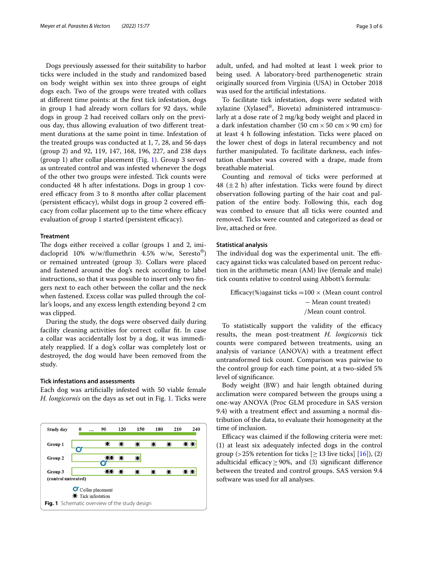Dogs previously assessed for their suitability to harbor ticks were included in the study and randomized based on body weight within sex into three groups of eight dogs each. Two of the groups were treated with collars at diferent time points: at the frst tick infestation, dogs in group 1 had already worn collars for 92 days, while dogs in group 2 had received collars only on the previous day, thus allowing evaluation of two diferent treatment durations at the same point in time. Infestation of the treated groups was conducted at 1, 7, 28, and 56 days (group 2) and 92, 119, 147, 168, 196, 227, and 238 days (group 1) after collar placement (Fig. [1\)](#page-2-0). Group 3 served as untreated control and was infested whenever the dogs of the other two groups were infested. Tick counts were conducted 48 h after infestations. Dogs in group 1 covered efficacy from 3 to 8 months after collar placement (persistent efficacy), whilst dogs in group 2 covered efficacy from collar placement up to the time where efficacy evaluation of group 1 started (persistent efficacy).

#### **Treatment**

The dogs either received a collar (groups 1 and 2, imidacloprid 10% w/w/fumethrin 4.5% w/w, Seresto®) or remained untreated (group 3). Collars were placed and fastened around the dog's neck according to label instructions, so that it was possible to insert only two fngers next to each other between the collar and the neck when fastened. Excess collar was pulled through the collar's loops, and any excess length extending beyond 2 cm was clipped.

During the study, the dogs were observed daily during facility cleaning activities for correct collar ft. In case a collar was accidentally lost by a dog, it was immediately reapplied. If a dog's collar was completely lost or destroyed, the dog would have been removed from the study.

### **Tick infestations and assessments**

Each dog was artifcially infested with 50 viable female *H. longicornis* on the days as set out in Fig. [1](#page-2-0). Ticks were

<span id="page-2-0"></span>

adult, unfed, and had molted at least 1 week prior to being used. A laboratory-bred parthenogenetic strain originally sourced from Virginia (USA) in October 2018 was used for the artifcial infestations.

To facilitate tick infestation, dogs were sedated with xylazine (Xylased®, Bioveta) administered intramuscularly at a dose rate of 2 mg/kg body weight and placed in a dark infestation chamber (50 cm  $\times$  50 cm  $\times$  90 cm) for at least 4 h following infestation. Ticks were placed on the lower chest of dogs in lateral recumbency and not further manipulated. To facilitate darkness, each infestation chamber was covered with a drape, made from breathable material.

Counting and removal of ticks were performed at 48  $(\pm 2$  h) after infestation. Ticks were found by direct observation following parting of the hair coat and palpation of the entire body. Following this, each dog was combed to ensure that all ticks were counted and removed. Ticks were counted and categorized as dead or live, attached or free.

### **Statistical analysis**

The individual dog was the experimental unit. The efficacy against ticks was calculated based on percent reduction in the arithmetic mean (AM) live (female and male) tick counts relative to control using Abbott's formula:

Efficacy(%)against ticks =100  $\times$  (Mean count control − Mean count treated) /Mean count control.

To statistically support the validity of the efficacy results, the mean post-treatment *H. longicornis* tick counts were compared between treatments, using an analysis of variance (ANOVA) with a treatment efect untransformed tick count. Comparison was pairwise to the control group for each time point, at a two-sided 5% level of signifcance.

Body weight (BW) and hair length obtained during acclimation were compared between the groups using a one-way ANOVA (Proc GLM procedure in SAS version 9.4) with a treatment efect and assuming a normal distribution of the data, to evaluate their homogeneity at the time of inclusion.

Efficacy was claimed if the following criteria were met: (1) at least six adequately infected dogs in the control group (> 25% retention for ticks  $[≥13$  live ticks]  $[16]$  $[16]$ ), (2) adulticidal efficacy  $> 90\%$ , and (3) significant difference between the treated and control groups. SAS version 9.4 software was used for all analyses.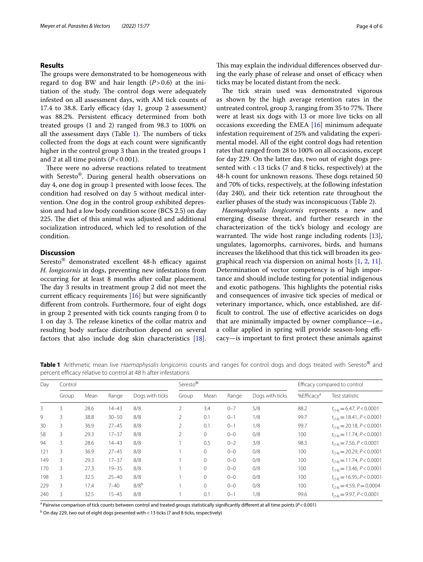### **Results**

The groups were demonstrated to be homogeneous with regard to dog BW and hair length  $(P>0.6)$  at the initiation of the study. The control dogs were adequately infested on all assessment days, with AM tick counts of  $17.4$  to 38.8. Early efficacy (day 1, group 2 assessment) was 88.2%. Persistent efficacy determined from both treated groups (1 and 2) ranged from 98.3 to 100% on all the assessment days (Table  $1$ ). The numbers of ticks collected from the dogs at each count were signifcantly higher in the control group 3 than in the treated groups 1 and 2 at all time points  $(P<0.001)$ .

There were no adverse reactions related to treatment with Seresto®. During general health observations on day 4, one dog in group 1 presented with loose feces. The condition had resolved on day 5 without medical intervention. One dog in the control group exhibited depression and had a low body condition score (BCS 2.5) on day 225. The diet of this animal was adjusted and additional socialization introduced, which led to resolution of the condition.

### **Discussion**

 $Seresto$ <sup>®</sup> demonstrated excellent 48-h efficacy against *H. longicornis* in dogs, preventing new infestations from occurring for at least 8 months after collar placement. The day 3 results in treatment group 2 did not meet the current efficacy requirements  $[16]$  $[16]$  but were significantly diferent from controls. Furthermore, four of eight dogs in group 2 presented with tick counts ranging from 0 to 1 on day 3. The release kinetics of the collar matrix and resulting body surface distribution depend on several factors that also include dog skin characteristics [\[18](#page-5-9)]. This may explain the individual differences observed during the early phase of release and onset of efficacy when ticks may be located distant from the neck.

The tick strain used was demonstrated vigorous as shown by the high average retention rates in the untreated control, group 3, ranging from 35 to 77%. There were at least six dogs with 13 or more live ticks on all occasions exceeding the EMEA [[16](#page-5-7)] minimum adequate infestation requirement of 25% and validating the experimental model. All of the eight control dogs had retention rates that ranged from 28 to 100% on all occasions, except for day 229. On the latter day, two out of eight dogs presented with <13 ticks (7 and 8 ticks, respectively) at the 48-h count for unknown reasons. These dogs retained 50 and 70% of ticks, respectively, at the following infestation (day 240), and their tick retention rate throughout the earlier phases of the study was inconspicuous (Table [2\)](#page-4-7).

*Haemaphysalis longicornis* represents a new and emerging disease threat, and further research in the characterization of the tick's biology and ecology are warranted. The wide host range including rodents  $[13]$  $[13]$ , ungulates, lagomorphs, carnivores, birds, and humans increases the likelihood that this tick will broaden its geographical reach via dispersion on animal hosts [\[1,](#page-4-0) [2](#page-4-1), [11](#page-5-2)]. Determination of vector competency is of high importance and should include testing for potential indigenous and exotic pathogens. This highlights the potential risks and consequences of invasive tick species of medical or veterinary importance, which, once established, are difficult to control. The use of effective acaricides on dogs that are minimally impacted by owner compliance—i.e., a collar applied in spring will provide season-long efficacy—is important to frst protect these animals against

<span id="page-3-0"></span>**Table 1** Arithmetic mean live *Haemaphysalis longicornis* counts and ranges for control dogs and dogs treated with Seresto® and percent efficacy relative to control at 48 h after infestations

| Day | Control |      |           |                 | Seresto® |              |         |                 | Efficacy compared to control |                                |
|-----|---------|------|-----------|-----------------|----------|--------------|---------|-----------------|------------------------------|--------------------------------|
|     | Group   | Mean | Range     | Dogs with ticks | Group    | Mean         | Range   | Dogs with ticks | %Efficacy <sup>a</sup>       | Test statistic                 |
| 3   | 3       | 28.6 | $14 - 43$ | 8/8             | 2        | 3.4          | $0 - 7$ | 5/8             | 88.2                         | $t_{(14)} = 6.47, P < 0.0001$  |
| 9   | 3       | 38.8 | $30 - 50$ | 8/8             | 2        | 0.1          | $0 - 1$ | 1/8             | 99.7                         | $t_{(14)} = 18.41, P < 0.0001$ |
| 30  | 3       | 36.9 | $27 - 45$ | 8/8             | 2        | 0.1          | $0 - 1$ | 1/8             | 99.7                         | $t_{(14)} = 20.18, P < 0.0001$ |
| 58  | 3       | 29.3 | $17 - 37$ | 8/8             | 2        | $\mathbf{0}$ | $0 - 0$ | 0/8             | 100                          | $t_{(14)} = 11.74, P < 0.0001$ |
| 94  | 3       | 28.6 | $14 - 43$ | 8/8             |          | 0.5          | $0 - 2$ | 3/8             | 98.3                         | $t_{(14)} = 7.56, P < 0.0001$  |
| 121 | 3       | 36.9 | $27 - 45$ | 8/8             |          | $\mathbf{0}$ | $0 - 0$ | 0/8             | 100                          | $t_{(14)} = 20.29, P < 0.0001$ |
| 149 | 3       | 29.3 | $17 - 37$ | 8/8             |          | $\mathbf{0}$ | $0 - 0$ | 0/8             | 100                          | $t_{(14)} = 11.74, P < 0.0001$ |
| 170 | 3       | 27.3 | $19 - 35$ | 8/8             |          | $\mathbf{0}$ | $0 - 0$ | 0/8             | 100                          | $t_{(14)} = 13.46, P < 0.0001$ |
| 198 | 3       | 32.5 | $25 - 40$ | 8/8             |          | $\mathbf{0}$ | $0 - 0$ | 0/8             | 100                          | $t_{(14)} = 16.95, P < 0.0001$ |
| 229 | 3       | 17.4 | $7 - 40$  | $8/8^b$         |          | $\mathbf{0}$ | $0 - 0$ | 0/8             | 100                          | $t_{(14)} = 4.59, P = 0.0004$  |
| 240 | 3       | 32.5 | $15 - 45$ | 8/8             |          | 0.1          | $0 - 1$ | 1/8             | 99.6                         | $t_{(14)} = 9.97, P < 0.0001$  |

a Pairwise comparison of tick counts between control and treated groups statistically signifcantly diferent at all time points (*P*<0.001)

<sup>b</sup> On day 229, two out of eight dogs presented with < 13 ticks (7 and 8 ticks, respectively)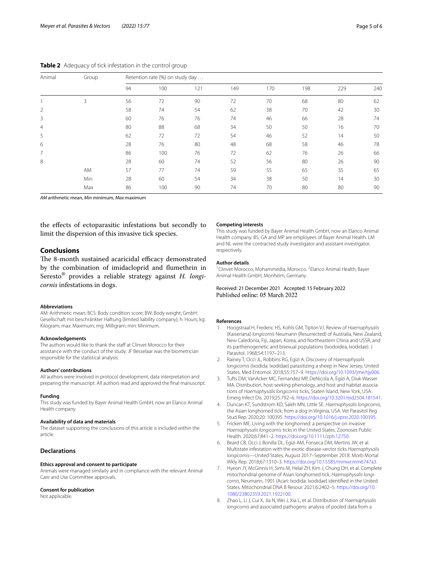<span id="page-4-7"></span>**Table 2** Adequacy of tick infestation in the control group

| Animal         | Group | Retention rate (%) on study day |     |     |     |     |     |     |     |  |  |
|----------------|-------|---------------------------------|-----|-----|-----|-----|-----|-----|-----|--|--|
|                |       | 94                              | 100 | 121 | 149 | 170 | 198 | 229 | 240 |  |  |
|                | 3     | 56                              | 72  | 90  | 72  | 70  | 68  | 80  | 62  |  |  |
| $\overline{2}$ |       | 58                              | 74  | 54  | 62  | 38  | 70  | 42  | 30  |  |  |
| 3              |       | 60                              | 76  | 76  | 74  | 46  | 66  | 28  | 74  |  |  |
| 4              |       | 80                              | 88  | 68  | 34  | 50  | 50  | 16  | 70  |  |  |
| 5              |       | 62                              | 72  | 72  | 54  | 46  | 52  | 14  | 50  |  |  |
| 6              |       | 28                              | 76  | 80  | 48  | 68  | 58  | 46  | 78  |  |  |
| 7              |       | 86                              | 100 | 76  | 72  | 62  | 76  | 26  | 66  |  |  |
| 8              |       | 28                              | 60  | 74  | 52  | 56  | 80  | 26  | 90  |  |  |
|                | AM    | 57                              | 77  | 74  | 59  | 55  | 65  | 35  | 65  |  |  |
|                | Min   | 28                              | 60  | 54  | 34  | 38  | 50  | 14  | 30  |  |  |
|                | Max   | 86                              | 100 | 90  | 74  | 70  | 80  | 80  | 90  |  |  |

*AM* arithmetic mean, *Min* minimum, *Max* maximum

the efects of ectoparasitic infestations but secondly to limit the dispersion of this invasive tick species.

### **Conclusions**

The 8-month sustained acaricidal efficacy demonstrated by the combination of imidacloprid and fumethrin in Seresto® provides a reliable strategy against *H. longicornis* infestations in dogs.

#### **Abbreviations**

AM: Arithmetic mean; BCS: Body condition score; BW: Body weight; GmbH: Gesellschaft mit beschränkter Haftung (limited liability company); h: Hours; kg: Kilogram; max: Maximum; mg: Milligram; min: Minimum.

#### **Acknowledgements**

The authors would like to thank the staff at Clinvet Morocco for their assistance with the conduct of the study. JF Besselaar was the biometrician responsible for the statistical analysis.

#### **Authors' contributions**

All authors were involved in protocol development, data interpretation and preparing the manuscript. All authors read and approved the fnal manuscript.

#### **Funding**

This study was funded by Bayer Animal Health GmbH, now an Elanco Animal Health company.

#### **Availability of data and materials**

The dataset supporting the conclusions of this article is included within the article.

### **Declarations**

#### **Ethics approval and consent to participate**

Animals were managed similarly and in compliance with the relevant Animal Care and Use Committee approvals.

#### **Consent for publication**

Not applicable.

#### **Competing interests**

This study was funded by Bayer Animal Health GmbH, now an Elanco Animal Health company. BS, GA and MP are employees of Bayer Animal Health. LM and NL were the contracted study investigator and assistant investigator, respectively.

#### **Author details**

<sup>1</sup> Clinvet Morocco, Mohammedia, Morocco. <sup>2</sup> Elanco Animal Health, Bayer Animal Health GmbH, Monheim, Germany.

# Received: 21 December 2021 Accepted: 15 February 2022<br>Published online: 05 March 2022

#### **References**

- <span id="page-4-0"></span>1. Hoogstraal H, Frederic HS, Kohls GM, Tipton VJ. Review of *Haemaphysalis* (Kaiseriana) *longicornis* Neumann (Resurrected) of Australia, New Zealand, New Caledonia, Fiji, Japan, Korea, and Northeastern China and USSR, and its parthenogenetic and bisexual populations (Ixodoidea, Ixodidae). J Parasitol. 1968;54:1197–213.
- <span id="page-4-1"></span>2. Rainey T, Occi JL, Robbins RG, Egizi A. Discovery of *Haemaphysalis longicornis* (Ixodida: Ixodidae) parasitizing a sheep in New Jersey, United States. Med Entomol. 2018;55:757–9.<https://doi.org/10.1093/jme/tjy006>.
- <span id="page-4-2"></span>3. Tufts DM, VanAcker MC, Fernandez MP, DeNicola A, Egizi A, Diuk-Wasser MA. Distribution, host-seeking phenology, and host and habitat associations of *Haemaphysalis longicornis* ticks, Staten Island, New York, USA. Emerg Infect Dis. 2019;25:792–6.<https://doi.org/10.3201/eid2504.181541>.
- 4. Duncan KT, Sundstrom KD, Saleh MN, Little SE. *Haemaphysalis longicornis*, the Asian longhorned tick, from a dog in Virginia, USA. Vet Parasitol Reg Stud Rep. 2020;20: 100395. <https://doi.org/10.1016/j.vprsr.2020.100395>.
- <span id="page-4-3"></span>5. Fricken ME. Living with the longhorned: a perspective on invasive *Haemaphysalis longicornis* ticks in the United States. Zoonoses Public Health. 2020;67:841–2. [https://doi.org/10.1111/zph.12750.](https://doi.org/10.1111/zph.12750)
- <span id="page-4-4"></span>6. Beard CB, Occi J, Bonilla DL, Egizi AM, Fonseca DM, Mertins JW, et al. Multistate infestation with the exotic disease-vector ticks *Haemaphysalis longicornis*—United States, August 2017–September 2018. Morb Mortal Wkly Rep. 2018;67:1310–3. <https://doi.org/10.15585/mmwr.mm6747a3>.
- <span id="page-4-5"></span>7. Hyeon JY, McGinnis H, Sims M, Helal ZH, Kim J, Chung DH, et al. Complete mitochondrial genome of Asian longhorned tick, *Haemaphysalis longicornis*, Neumann, 1901 (Acari: Ixodida: Ixodidae) identifed in the United States. Mitochondrial DNA B Resour. 2021;6:2402–5. [https://doi.org/10.](https://doi.org/10.1080/23802359.2021.1922100) [1080/23802359.2021.1922100](https://doi.org/10.1080/23802359.2021.1922100).
- <span id="page-4-6"></span>8. Zhao L, Li J, Cui X, Jia N, Wei J, Xia L, et al. Distribution of *Haemaphysalis longicornis* and associated pathogens: analysis of pooled data from a